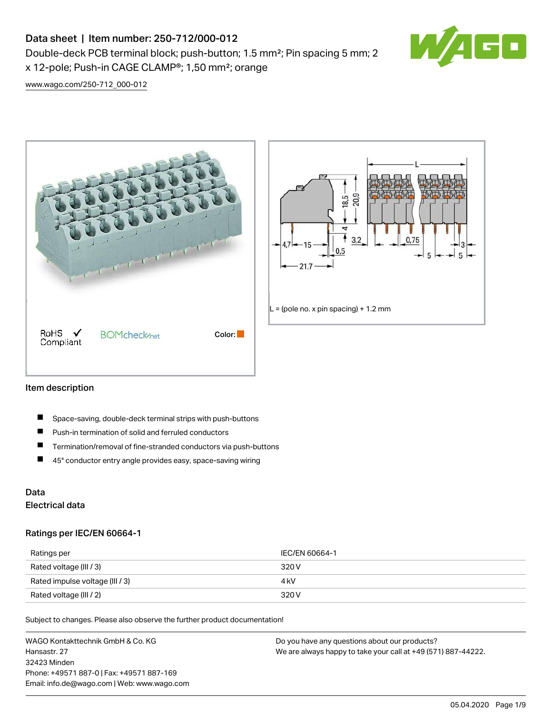## Data sheet | Item number: 250-712/000-012 Double-deck PCB terminal block; push-button; 1.5 mm²; Pin spacing 5 mm; 2

x 12-pole; Push-in CAGE CLAMP®; 1,50 mm²; orange



[www.wago.com/250-712\\_000-012](http://www.wago.com/250-712_000-012)





## Item description

- П Space-saving, double-deck terminal strips with push-buttons
- $\blacksquare$ Push-in termination of solid and ferruled conductors
- $\blacksquare$ Termination/removal of fine-stranded conductors via push-buttons
- $\blacksquare$ 45° conductor entry angle provides easy, space-saving wiring

## Data Electrical data

## Ratings per IEC/EN 60664-1

| Ratings per                     | IEC/EN 60664-1 |
|---------------------------------|----------------|
| Rated voltage (III / 3)         | 320 V          |
| Rated impulse voltage (III / 3) | 4 kV           |
| Rated voltage (III / 2)         | 320 V          |

Subject to changes. Please also observe the further product documentation!

WAGO Kontakttechnik GmbH & Co. KG Hansastr. 27 32423 Minden Phone: +49571 887-0 | Fax: +49571 887-169 Email: info.de@wago.com | Web: www.wago.com Do you have any questions about our products? We are always happy to take your call at +49 (571) 887-44222.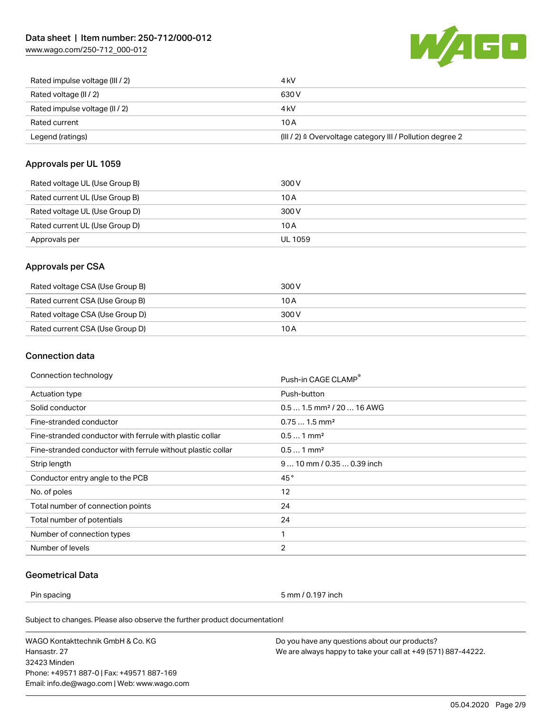[www.wago.com/250-712\\_000-012](http://www.wago.com/250-712_000-012)



| Rated impulse voltage (III / 2) | 4 kV                                                      |
|---------------------------------|-----------------------------------------------------------|
| Rated voltage (II / 2)          | 630 V                                                     |
| Rated impulse voltage (II / 2)  | 4 kV                                                      |
| Rated current                   | 10 A                                                      |
| Legend (ratings)                | (III / 2) ≙ Overvoltage category III / Pollution degree 2 |

## Approvals per UL 1059

| Rated voltage UL (Use Group B) | 300 V   |
|--------------------------------|---------|
| Rated current UL (Use Group B) | 10 A    |
| Rated voltage UL (Use Group D) | 300 V   |
| Rated current UL (Use Group D) | 10 A    |
| Approvals per                  | UL 1059 |

## Approvals per CSA

| Rated voltage CSA (Use Group B) | 300 V |
|---------------------------------|-------|
| Rated current CSA (Use Group B) | 10 A  |
| Rated voltage CSA (Use Group D) | 300 V |
| Rated current CSA (Use Group D) | 10 A  |

## Connection data

| Connection technology                                       | Push-in CAGE CLAMP®                   |
|-------------------------------------------------------------|---------------------------------------|
| <b>Actuation type</b>                                       | Push-button                           |
| Solid conductor                                             | $0.51.5$ mm <sup>2</sup> / 20  16 AWG |
| Fine-stranded conductor                                     | $0.751.5$ mm <sup>2</sup>             |
| Fine-stranded conductor with ferrule with plastic collar    | $0.51$ mm <sup>2</sup>                |
| Fine-stranded conductor with ferrule without plastic collar | $0.51$ mm <sup>2</sup>                |
| Strip length                                                | $910$ mm / 0.35  0.39 inch            |
| Conductor entry angle to the PCB                            | 45°                                   |
| No. of poles                                                | 12                                    |
| Total number of connection points                           | 24                                    |
| Total number of potentials                                  | 24                                    |
| Number of connection types                                  | 1                                     |
| Number of levels                                            | 2                                     |

## Geometrical Data

Pin spacing 5 mm / 0.197 inch

Subject to changes. Please also observe the further product documentation!

WAGO Kontakttechnik GmbH & Co. KG Hansastr. 27 32423 Minden Phone: +49571 887-0 | Fax: +49571 887-169 Email: info.de@wago.com | Web: www.wago.com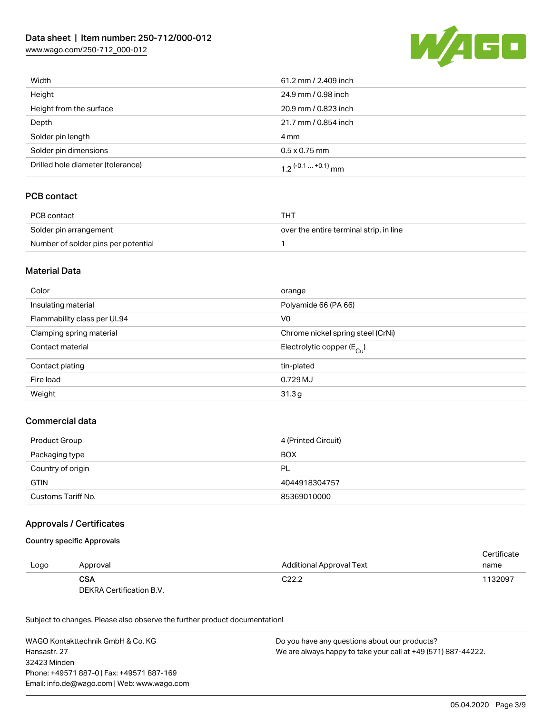## Data sheet | Item number: 250-712/000-012

[www.wago.com/250-712\\_000-012](http://www.wago.com/250-712_000-012)



| Width                             | 61.2 mm / 2.409 inch  |
|-----------------------------------|-----------------------|
| Height                            | 24.9 mm / 0.98 inch   |
| Height from the surface           | 20.9 mm / 0.823 inch  |
| Depth                             | 21.7 mm / 0.854 inch  |
| Solder pin length                 | 4 mm                  |
| Solder pin dimensions             | $0.5 \times 0.75$ mm  |
| Drilled hole diameter (tolerance) | 1.2 $(-0.1  +0.1)$ mm |

## PCB contact

| PCB contact                         | THT                                     |
|-------------------------------------|-----------------------------------------|
| Solder pin arrangement              | over the entire terminal strip, in line |
| Number of solder pins per potential |                                         |

## Material Data

| Color                       | orange                                |
|-----------------------------|---------------------------------------|
| Insulating material         | Polyamide 66 (PA 66)                  |
| Flammability class per UL94 | V0                                    |
| Clamping spring material    | Chrome nickel spring steel (CrNi)     |
| Contact material            | Electrolytic copper $(E_{\text{Cl}})$ |
| Contact plating             | tin-plated                            |
| Fire load                   | 0.729 MJ                              |
| Weight                      | 31.3g                                 |

## Commercial data

| Product Group      | 4 (Printed Circuit) |
|--------------------|---------------------|
| Packaging type     | <b>BOX</b>          |
| Country of origin  | <b>PL</b>           |
| <b>GTIN</b>        | 4044918304757       |
| Customs Tariff No. | 85369010000         |

## Approvals / Certificates

#### Country specific Approvals

|      |                          |                                 | Certificate |
|------|--------------------------|---------------------------------|-------------|
| Logo | Approval                 | <b>Additional Approval Text</b> | name        |
|      | <b>CSA</b>               | C <sub>22.2</sub>               | 1132097     |
|      | DEKRA Certification B.V. |                                 |             |

Subject to changes. Please also observe the further product documentation!

WAGO Kontakttechnik GmbH & Co. KG Hansastr. 27 32423 Minden Phone: +49571 887-0 | Fax: +49571 887-169 Email: info.de@wago.com | Web: www.wago.com Do you have any questions about our products? We are always happy to take your call at +49 (571) 887-44222.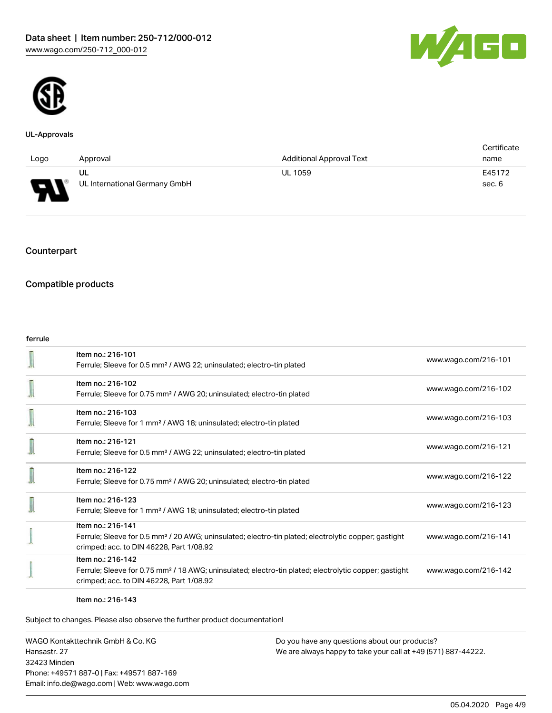



#### UL-Approvals

|                               |                               |                                 | Certificate |
|-------------------------------|-------------------------------|---------------------------------|-------------|
| Logo                          | Approval                      | <b>Additional Approval Text</b> | name        |
|                               | UL                            | <b>UL 1059</b>                  | E45172      |
| Б<br>$\overline{\phantom{a}}$ | UL International Germany GmbH |                                 | sec. 6      |

## Counterpart

## Compatible products

#### ferrule

| Item no.: 216-101<br>Ferrule; Sleeve for 0.5 mm <sup>2</sup> / AWG 22; uninsulated; electro-tin plated                                                                             | www.wago.com/216-101 |
|------------------------------------------------------------------------------------------------------------------------------------------------------------------------------------|----------------------|
| Item no.: 216-102<br>Ferrule; Sleeve for 0.75 mm <sup>2</sup> / AWG 20; uninsulated; electro-tin plated                                                                            | www.wago.com/216-102 |
| Item no.: 216-103<br>Ferrule; Sleeve for 1 mm <sup>2</sup> / AWG 18; uninsulated; electro-tin plated                                                                               | www.wago.com/216-103 |
| Item no.: 216-121<br>Ferrule; Sleeve for 0.5 mm <sup>2</sup> / AWG 22; uninsulated; electro-tin plated                                                                             | www.wago.com/216-121 |
| Item no.: 216-122<br>Ferrule; Sleeve for 0.75 mm <sup>2</sup> / AWG 20; uninsulated; electro-tin plated                                                                            | www.wago.com/216-122 |
| Item no.: 216-123<br>Ferrule; Sleeve for 1 mm <sup>2</sup> / AWG 18; uninsulated; electro-tin plated                                                                               | www.wago.com/216-123 |
| Item no.: 216-141<br>Ferrule; Sleeve for 0.5 mm <sup>2</sup> / 20 AWG; uninsulated; electro-tin plated; electrolytic copper; gastight<br>crimped; acc. to DIN 46228, Part 1/08.92  | www.wago.com/216-141 |
| Item no.: 216-142<br>Ferrule; Sleeve for 0.75 mm <sup>2</sup> / 18 AWG; uninsulated; electro-tin plated; electrolytic copper; gastight<br>crimped; acc. to DIN 46228, Part 1/08.92 | www.wago.com/216-142 |

#### Item no.: 216-143

Subject to changes. Please also observe the further product documentation!

WAGO Kontakttechnik GmbH & Co. KG Hansastr. 27 32423 Minden Phone: +49571 887-0 | Fax: +49571 887-169 Email: info.de@wago.com | Web: www.wago.com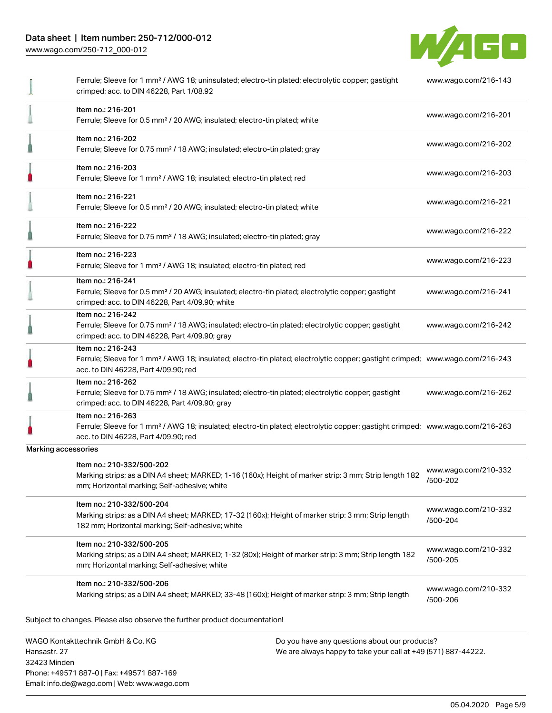# Data sheet | Item number: 250-712/000-012

[www.wago.com/250-712\\_000-012](http://www.wago.com/250-712_000-012)

32423 Minden

Phone: +49571 887-0 | Fax: +49571 887-169 Email: info.de@wago.com | Web: www.wago.com



|                                                   | Ferrule; Sleeve for 1 mm <sup>2</sup> / AWG 18; uninsulated; electro-tin plated; electrolytic copper; gastight<br>crimped; acc. to DIN 46228, Part 1/08.92                                              |                                                                                                                | www.wago.com/216-143             |  |  |  |  |
|---------------------------------------------------|---------------------------------------------------------------------------------------------------------------------------------------------------------------------------------------------------------|----------------------------------------------------------------------------------------------------------------|----------------------------------|--|--|--|--|
|                                                   | Item no.: 216-201<br>Ferrule; Sleeve for 0.5 mm <sup>2</sup> / 20 AWG; insulated; electro-tin plated; white                                                                                             |                                                                                                                | www.wago.com/216-201             |  |  |  |  |
|                                                   | Item no.: 216-202<br>Ferrule; Sleeve for 0.75 mm <sup>2</sup> / 18 AWG; insulated; electro-tin plated; gray                                                                                             |                                                                                                                | www.wago.com/216-202             |  |  |  |  |
|                                                   | Item no.: 216-203<br>Ferrule; Sleeve for 1 mm <sup>2</sup> / AWG 18; insulated; electro-tin plated; red                                                                                                 |                                                                                                                | www.wago.com/216-203             |  |  |  |  |
|                                                   | Item no.: 216-221<br>Ferrule; Sleeve for 0.5 mm <sup>2</sup> / 20 AWG; insulated; electro-tin plated; white                                                                                             |                                                                                                                | www.wago.com/216-221             |  |  |  |  |
|                                                   | Item no.: 216-222<br>Ferrule; Sleeve for 0.75 mm <sup>2</sup> / 18 AWG; insulated; electro-tin plated; gray                                                                                             |                                                                                                                | www.wago.com/216-222             |  |  |  |  |
|                                                   | Item no.: 216-223<br>Ferrule; Sleeve for 1 mm <sup>2</sup> / AWG 18; insulated; electro-tin plated; red                                                                                                 |                                                                                                                | www.wago.com/216-223             |  |  |  |  |
|                                                   | Item no.: 216-241<br>Ferrule; Sleeve for 0.5 mm <sup>2</sup> / 20 AWG; insulated; electro-tin plated; electrolytic copper; gastight<br>crimped; acc. to DIN 46228, Part 4/09.90; white                  |                                                                                                                | www.wago.com/216-241             |  |  |  |  |
|                                                   | Item no.: 216-242<br>Ferrule; Sleeve for 0.75 mm <sup>2</sup> / 18 AWG; insulated; electro-tin plated; electrolytic copper; gastight<br>crimped; acc. to DIN 46228, Part 4/09.90; gray                  |                                                                                                                | www.wago.com/216-242             |  |  |  |  |
|                                                   | Item no.: 216-243<br>Ferrule; Sleeve for 1 mm <sup>2</sup> / AWG 18; insulated; electro-tin plated; electrolytic copper; gastight crimped; www.wago.com/216-243<br>acc. to DIN 46228, Part 4/09.90; red |                                                                                                                |                                  |  |  |  |  |
|                                                   | Item no.: 216-262<br>Ferrule; Sleeve for 0.75 mm <sup>2</sup> / 18 AWG; insulated; electro-tin plated; electrolytic copper; gastight<br>crimped; acc. to DIN 46228, Part 4/09.90; gray                  |                                                                                                                | www.wago.com/216-262             |  |  |  |  |
|                                                   | Item no.: 216-263<br>Ferrule; Sleeve for 1 mm <sup>2</sup> / AWG 18; insulated; electro-tin plated; electrolytic copper; gastight crimped; www.wago.com/216-263<br>acc. to DIN 46228, Part 4/09.90; red |                                                                                                                |                                  |  |  |  |  |
| Marking accessories                               |                                                                                                                                                                                                         |                                                                                                                |                                  |  |  |  |  |
|                                                   | Item no.: 210-332/500-202<br>Marking strips; as a DIN A4 sheet; MARKED; 1-16 (160x); Height of marker strip: 3 mm; Strip length 182<br>mm; Horizontal marking; Self-adhesive; white                     |                                                                                                                | www.wago.com/210-332<br>/500-202 |  |  |  |  |
|                                                   | Item no.: 210-332/500-204<br>Marking strips; as a DIN A4 sheet; MARKED; 17-32 (160x); Height of marker strip: 3 mm; Strip length<br>182 mm; Horizontal marking; Self-adhesive; white                    |                                                                                                                | www.wago.com/210-332<br>/500-204 |  |  |  |  |
|                                                   | Item no.: 210-332/500-205<br>Marking strips; as a DIN A4 sheet; MARKED; 1-32 (80x); Height of marker strip: 3 mm; Strip length 182<br>mm; Horizontal marking; Self-adhesive; white                      |                                                                                                                | www.wago.com/210-332<br>/500-205 |  |  |  |  |
|                                                   | Item no.: 210-332/500-206<br>Marking strips; as a DIN A4 sheet; MARKED; 33-48 (160x); Height of marker strip: 3 mm; Strip length                                                                        |                                                                                                                | www.wago.com/210-332<br>/500-206 |  |  |  |  |
|                                                   | Subject to changes. Please also observe the further product documentation!                                                                                                                              |                                                                                                                |                                  |  |  |  |  |
| WAGO Kontakttechnik GmbH & Co. KG<br>Hansastr. 27 |                                                                                                                                                                                                         | Do you have any questions about our products?<br>We are always happy to take your call at +49 (571) 887-44222. |                                  |  |  |  |  |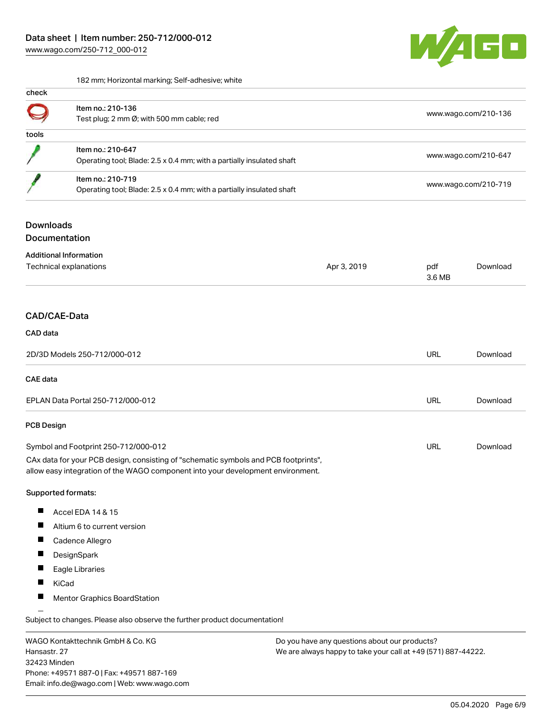

182 mm; Horizontal marking; Self-adhesive; white

| check |                                                                                            |                      |
|-------|--------------------------------------------------------------------------------------------|----------------------|
|       | Item no.: 210-136<br>Test plug; 2 mm $\emptyset$ ; with 500 mm cable; red                  | www.wago.com/210-136 |
| tools |                                                                                            |                      |
|       | Item no.: 210-647<br>Operating tool; Blade: 2.5 x 0.4 mm; with a partially insulated shaft | www.wago.com/210-647 |
|       | Item no.: 210-719<br>Operating tool; Blade: 2.5 x 0.4 mm; with a partially insulated shaft | www.wago.com/210-719 |

#### Downloads Documentation

|  |  |  | pocumentation |  |  |  |
|--|--|--|---------------|--|--|--|
|  |  |  |               |  |  |  |

| <b>Additional Information</b>     |             |               |          |
|-----------------------------------|-------------|---------------|----------|
| Technical explanations            | Apr 3, 2019 | pdf<br>3.6 MB | Download |
|                                   |             |               |          |
| <b>CAD/CAE-Data</b>               |             |               |          |
| CAD data                          |             |               |          |
| 2D/3D Models 250-712/000-012      |             | <b>URL</b>    | Download |
| <b>CAE</b> data                   |             |               |          |
| EPLAN Data Portal 250-712/000-012 |             | <b>URL</b>    | Download |
| <b>PCB Design</b>                 |             |               |          |

Symbol and Footprint 250-712/000-012 CAx data for your PCB design, consisting of "schematic symbols and PCB footprints", allow easy integration of the WAGO component into your development environment.

#### Supported formats:

- $\blacksquare$ Accel EDA 14 & 15
- $\blacksquare$ Altium 6 to current version
- $\blacksquare$ Cadence Allegro
- $\blacksquare$ **DesignSpark**
- $\blacksquare$ Eagle Libraries
- $\blacksquare$ KiCad
- $\blacksquare$ Mentor Graphics BoardStation

Subject to changes. Please also observe the further product documentation!

WAGO Kontakttechnik GmbH & Co. KG Hansastr. 27 32423 Minden Phone: +49571 887-0 | Fax: +49571 887-169 Email: info.de@wago.com | Web: www.wago.com

Do you have any questions about our products? We are always happy to take your call at +49 (571) 887-44222.

URL [Download](https://www.wago.com/de/d/UltraLibrarian_URLS_250-712_000-012)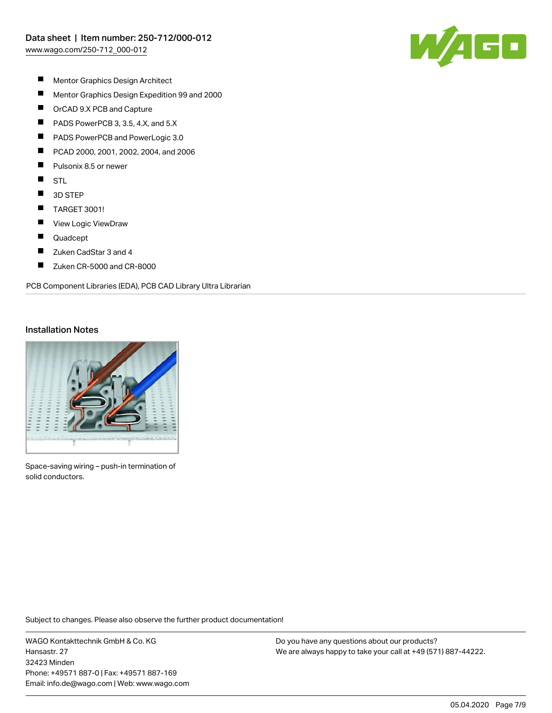

- $\blacksquare$ Mentor Graphics Design Architect
- $\blacksquare$ Mentor Graphics Design Expedition 99 and 2000
- $\blacksquare$ OrCAD 9.X PCB and Capture
- $\blacksquare$ PADS PowerPCB 3, 3.5, 4.X, and 5.X
- П PADS PowerPCB and PowerLogic 3.0
- П PCAD 2000, 2001, 2002, 2004, and 2006
- П Pulsonix 8.5 or newer
- $\blacksquare$ STL
- $\blacksquare$ 3D STEP
- $\blacksquare$ TARGET 3001!
- $\blacksquare$ View Logic ViewDraw
- $\blacksquare$ Quadcept
- $\blacksquare$ Zuken CadStar 3 and 4
- $\blacksquare$ Zuken CR-5000 and CR-8000

PCB Component Libraries (EDA), PCB CAD Library Ultra Librarian

### Installation Notes



Space-saving wiring – push-in termination of solid conductors.

Subject to changes. Please also observe the further product documentation!

WAGO Kontakttechnik GmbH & Co. KG Hansastr. 27 32423 Minden Phone: +49571 887-0 | Fax: +49571 887-169 Email: info.de@wago.com | Web: www.wago.com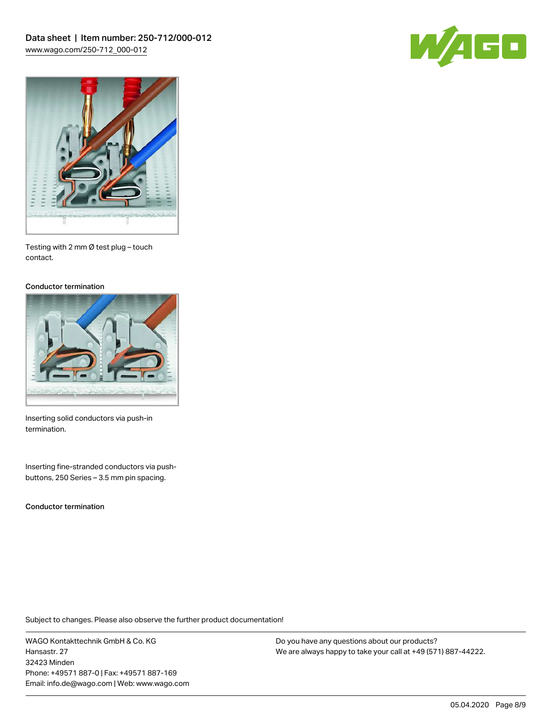



Testing with 2 mm Ø test plug – touch contact.

#### Conductor termination



Inserting solid conductors via push-in termination.

Inserting fine-stranded conductors via pushbuttons, 250 Series – 3.5 mm pin spacing.

Conductor termination

Subject to changes. Please also observe the further product documentation!

WAGO Kontakttechnik GmbH & Co. KG Hansastr. 27 32423 Minden Phone: +49571 887-0 | Fax: +49571 887-169 Email: info.de@wago.com | Web: www.wago.com